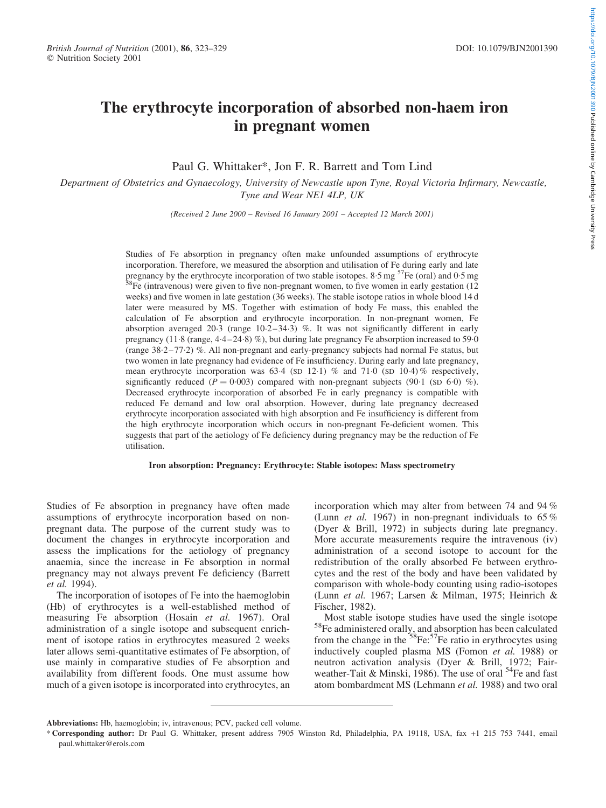# The erythrocyte incorporation of absorbed non-haem iron in pregnant women

Paul G. Whittaker\*, Jon F. R. Barrett and Tom Lind

Department of Obstetrics and Gynaecology, University of Newcastle upon Tyne, Royal Victoria Infirmary, Newcastle, Tyne and Wear NE1 4LP, UK

(Received 2 June 2000 – Revised 16 January 2001 – Accepted 12 March 2001)

Studies of Fe absorption in pregnancy often make unfounded assumptions of erythrocyte incorporation. Therefore, we measured the absorption and utilisation of Fe during early and late pregnancy by the erythrocyte incorporation of two stable isotopes. 8:5 mg  $57Fe$  (oral) and 0:5 mg  $58Fe$  (intravenous) were given to five non-pregnant women, to five women in early gestation (12) weeks) and five women in late gestation (36 weeks). The stable isotope ratios in whole blood 14 d later were measured by MS. Together with estimation of body Fe mass, this enabled the calculation of Fe absorption and erythrocyte incorporation. In non-pregnant women, Fe absorption averaged 20.3 (range  $10.2-34.3$ ) %. It was not significantly different in early pregnancy  $(11.8 \text{ (range, } 4.4-24.8) \%)$ , but during late pregnancy Fe absorption increased to 59.0 (range 38:2–77:2) %. All non-pregnant and early-pregnancy subjects had normal Fe status, but two women in late pregnancy had evidence of Fe insufficiency. During early and late pregnancy, mean erythrocyte incorporation was  $63.4$  (SD 12.1) % and  $71.0$  (SD 10.4) % respectively, significantly reduced  $(P = 0.003)$  compared with non-pregnant subjects (90.1 (SD 6.0) %). Decreased erythrocyte incorporation of absorbed Fe in early pregnancy is compatible with reduced Fe demand and low oral absorption. However, during late pregnancy decreased erythrocyte incorporation associated with high absorption and Fe insufficiency is different from the high erythrocyte incorporation which occurs in non-pregnant Fe-deficient women. This suggests that part of the aetiology of Fe deficiency during pregnancy may be the reduction of Fe utilisation.

#### Iron absorption: Pregnancy: Erythrocyte: Stable isotopes: Mass spectrometry

Studies of Fe absorption in pregnancy have often made assumptions of erythrocyte incorporation based on nonpregnant data. The purpose of the current study was to document the changes in erythrocyte incorporation and assess the implications for the aetiology of pregnancy anaemia, since the increase in Fe absorption in normal pregnancy may not always prevent Fe deficiency (Barrett et al. 1994).

The incorporation of isotopes of Fe into the haemoglobin (Hb) of erythrocytes is a well-established method of measuring Fe absorption (Hosain et al. 1967). Oral administration of a single isotope and subsequent enrichment of isotope ratios in erythrocytes measured 2 weeks later allows semi-quantitative estimates of Fe absorption, of use mainly in comparative studies of Fe absorption and availability from different foods. One must assume how much of a given isotope is incorporated into erythrocytes, an

incorporation which may alter from between 74 and 94 % (Lunn et al. 1967) in non-pregnant individuals to 65 % (Dyer & Brill, 1972) in subjects during late pregnancy. More accurate measurements require the intravenous (iv) administration of a second isotope to account for the redistribution of the orally absorbed Fe between erythrocytes and the rest of the body and have been validated by comparison with whole-body counting using radio-isotopes (Lunn et al. 1967; Larsen & Milman, 1975; Heinrich & Fischer, 1982).<br>Most stable isotope studies have used the single isotope

Most stable isotope studies have used the single isotope 58Fe administered orally, and absorption has been calculated from the change in the  $58Fe:57Fe$  ratio in erythrocytes using inductively coupled plasma MS (Fomon et al. 1988) or neutron activation analysis (Dyer & Brill, 1972; Fairweather-Tait & Minski, 1986). The use of oral <sup>54</sup>Fe and fast atom bombardment MS (Lehmann et al. 1988) and two oral

Abbreviations: Hb, haemoglobin; iv, intravenous; PCV, packed cell volume.

<sup>\*</sup> Corresponding author: Dr Paul G. Whittaker, present address 7905 Winston Rd, Philadelphia, PA 19118, USA, fax +1 215 753 7441, email paul.whittaker@erols.com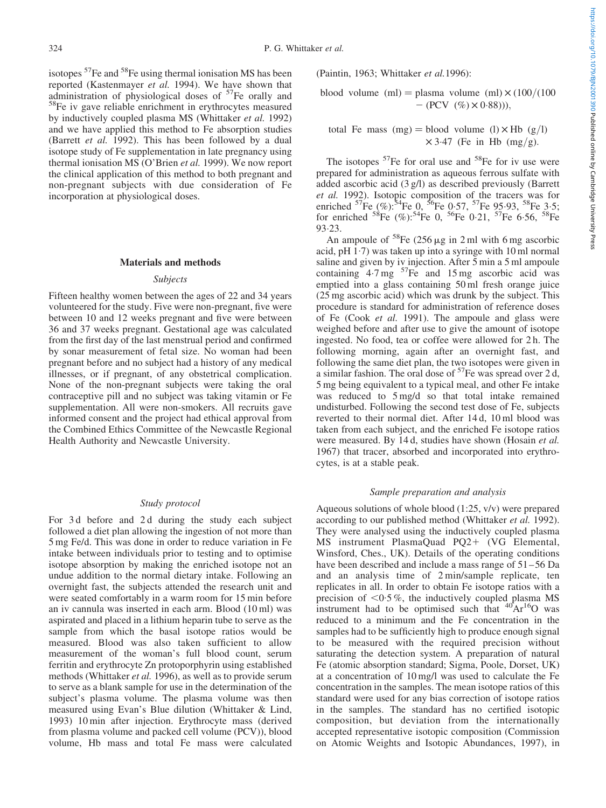isotopes <sup>57</sup>Fe and <sup>58</sup>Fe using thermal ionisation MS has been reported (Kastenmayer *et al.* 1994). We have shown that administration of physiological doses of  $57$ Fe orally and  $58$ Fe iv gave reliable enrichment in erythrocytes measured by inductively coupled plasma MS (Whittaker et al. 1992) and we have applied this method to Fe absorption studies (Barrett et al. 1992). This has been followed by a dual isotope study of Fe supplementation in late pregnancy using thermal ionisation MS (O'Brien et al. 1999). We now report the clinical application of this method to both pregnant and non-pregnant subjects with due consideration of Fe incorporation at physiological doses.

## Materials and methods

#### Subjects

Fifteen healthy women between the ages of 22 and 34 years volunteered for the study. Five were non-pregnant, five were between 10 and 12 weeks pregnant and five were between 36 and 37 weeks pregnant. Gestational age was calculated from the first day of the last menstrual period and confirmed by sonar measurement of fetal size. No woman had been pregnant before and no subject had a history of any medical illnesses, or if pregnant, of any obstetrical complication. None of the non-pregnant subjects were taking the oral contraceptive pill and no subject was taking vitamin or Fe supplementation. All were non-smokers. All recruits gave informed consent and the project had ethical approval from the Combined Ethics Committee of the Newcastle Regional Health Authority and Newcastle University.

## Study protocol

For 3 d before and 2 d during the study each subject followed a diet plan allowing the ingestion of not more than 5 mg Fe/d. This was done in order to reduce variation in Fe intake between individuals prior to testing and to optimise isotope absorption by making the enriched isotope not an undue addition to the normal dietary intake. Following an overnight fast, the subjects attended the research unit and were seated comfortably in a warm room for 15 min before an iv cannula was inserted in each arm. Blood (10 ml) was aspirated and placed in a lithium heparin tube to serve as the sample from which the basal isotope ratios would be measured. Blood was also taken sufficient to allow measurement of the woman's full blood count, serum ferritin and erythrocyte Zn protoporphyrin using established methods (Whittaker et al. 1996), as well as to provide serum to serve as a blank sample for use in the determination of the subject's plasma volume. The plasma volume was then measured using Evan's Blue dilution (Whittaker & Lind, 1993) 10 min after injection. Erythrocyte mass (derived from plasma volume and packed cell volume (PCV)), blood volume, Hb mass and total Fe mass were calculated (Paintin, 1963; Whittaker et al.1996):

# blood volume  $(ml)$  = plasma volume  $(ml) \times (100/(100))$  $- (PCV (%) \times 0.88$ )),

# total Fe mass  $(mg) =$  blood volume  $(l) \times$  Hb  $(g/l)$  $\times$  3.47 (Fe in Hb (mg/g).

The isotopes  $57$ Fe for oral use and  $58$ Fe for iv use were prepared for administration as aqueous ferrous sulfate with added ascorbic acid (3 g/l) as described previously (Barrett et al. 1992). Isotopic composition of the tracers was for enriched  ${}^{57}Fe$  (%): ${}^{54}Fe$  0,  ${}^{56}Fe$  0.57,  ${}^{57}Fe$  95.93,  ${}^{58}Fe$  3.5; for enriched  ${}^{58}Fe$  (%):  ${}^{54}Fe$  0,  ${}^{56}Fe$  0.21,  ${}^{57}Fe$  6.56,  ${}^{58}Fe$ 93:23.

An ampoule of  ${}^{58}Fe$  (256  $\mu$ g in 2 ml with 6 mg ascorbic acid, pH $(1.7)$  was taken up into a syringe with 10 ml normal saline and given by iv injection. After 5 min a 5 ml ampoule containing  $4.7 \text{ mg}$   $57\text{Fe}$  and  $15 \text{ mg}$  ascorbic acid was emptied into a glass containing 50 ml fresh orange juice (25 mg ascorbic acid) which was drunk by the subject. This procedure is standard for administration of reference doses of Fe (Cook et al. 1991). The ampoule and glass were weighed before and after use to give the amount of isotope ingested. No food, tea or coffee were allowed for 2 h. The following morning, again after an overnight fast, and following the same diet plan, the two isotopes were given in a similar fashion. The oral dose of  $57$ Fe was spread over 2 d, 5 mg being equivalent to a typical meal, and other Fe intake was reduced to 5 mg/d so that total intake remained undisturbed. Following the second test dose of Fe, subjects reverted to their normal diet. After 14 d, 10 ml blood was taken from each subject, and the enriched Fe isotope ratios were measured. By 14 d, studies have shown (Hosain et al. 1967) that tracer, absorbed and incorporated into erythrocytes, is at a stable peak.

## Sample preparation and analysis

Aqueous solutions of whole blood (1:25, v/v) were prepared according to our published method (Whittaker et al. 1992). They were analysed using the inductively coupled plasma MS instrument PlasmaQuad PQ2+ (VG Elemental, Winsford, Ches., UK). Details of the operating conditions have been described and include a mass range of 51–56 Da and an analysis time of 2 min/sample replicate, ten replicates in all. In order to obtain Fe isotope ratios with a precision of  $\leq 0.5\%$ , the inductively coupled plasma MS instrument had to be optimised such that  $^{40}Ar^{16}O$  was reduced to a minimum and the Fe concentration in the samples had to be sufficiently high to produce enough signal to be measured with the required precision without saturating the detection system. A preparation of natural Fe (atomic absorption standard; Sigma, Poole, Dorset, UK) at a concentration of 10 mg/l was used to calculate the Fe concentration in the samples. The mean isotope ratios of this standard were used for any bias correction of isotope ratios in the samples. The standard has no certified isotopic composition, but deviation from the internationally accepted representative isotopic composition (Commission on Atomic Weights and Isotopic Abundances, 1997), in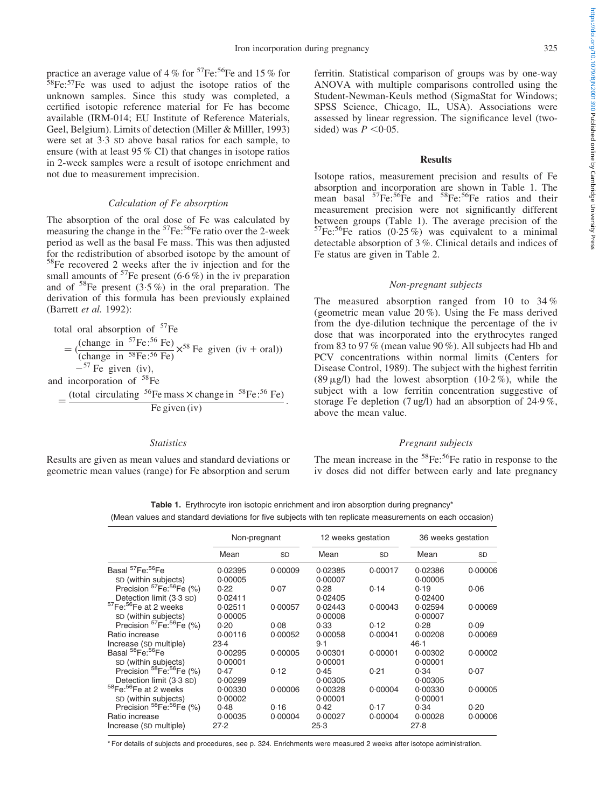practice an average value of 4 % for  ${}^{57}Fe: {}^{56}Fe$  and 15 % for 58Fe:<sup>57</sup>Fe was used to adjust the isotope ratios of the unknown samples. Since this study was completed, a certified isotopic reference material for Fe has become available (IRM-014; EU Institute of Reference Materials, Geel, Belgium). Limits of detection (Miller & Milller, 1993) were set at 3:3 SD above basal ratios for each sample, to ensure (with at least 95 % CI) that changes in isotope ratios in 2-week samples were a result of isotope enrichment and not due to measurement imprecision.

#### Calculation of Fe absorption

The absorption of the oral dose of Fe was calculated by measuring the change in the  $57Fe$ :  $56Fe$  ratio over the 2-week period as well as the basal Fe mass. This was then adjusted for the redistribution of absorbed isotope by the amount of  $58$ Fe recovered 2 weeks after the iv injection and for the small amounts of  $57$ Fe present (6.6%) in the iv preparation and of  $58$ Fe present  $(3.5\%)$  in the oral preparation. The derivation of this formula has been previously explained (Barrett et al. 1992):

total oral absorption of  $57Fe$  $=$  (change in <sup>57</sup>Fe:<sup>56</sup> Fe) (change in Te. Te)  $\times$ <sup>58</sup> Fe given (iv + oral))  $-$ <sup>57</sup> Fe given (iv), and incorporation of <sup>58</sup>Fe  $=\frac{\text{(total circulating)}^{56}\text{Fe mass} \times \text{change in}^{58}\text{Fe}:^{56}\text{Fe}}{1}$ Fe given  $(iv)$ 

## **Statistics**

Results are given as mean values and standard deviations or geometric mean values (range) for Fe absorption and serum ferritin. Statistical comparison of groups was by one-way ANOVA with multiple comparisons controlled using the Student-Newman-Keuls method (SigmaStat for Windows; SPSS Science, Chicago, IL, USA). Associations were assessed by linear regression. The significance level (twosided) was  $P \leq 0.05$ .

## Results

Isotope ratios, measurement precision and results of Fe absorption and incorporation are shown in Table 1. The mean basal  ${}^{57}Fe: {}^{56}Fe$  and  ${}^{58}Fe: {}^{56}Fe$  ratios and their measurement precision were not significantly different between groups (Table 1). The average precision of the  $57$ Fe:<sup>56</sup>Fe ratios (0.25%) was equivalent to a minimal detectable absorption of 3 %. Clinical details and indices of Fe status are given i[n Table 2.](#page-3-0)

#### Non-pregnant subjects

The measured absorption ranged from 10 to 34 % (geometric mean value 20 %). Using the Fe mass derived from the dye-dilution technique the percentage of the iv dose that was incorporated into the erythrocytes ranged from 83 to 97 % (mean value 90 %). All subjects had Hb and PCV concentrations within normal limits (Centers for Disease Control, 1989). The subject with the highest ferritin (89  $\mu$ g/l) had the lowest absorption (10.2 %), while the subject with a low ferritin concentration suggestive of storage Fe depletion (7 ug/l) had an absorption of 24:9 %, above the mean value.

## Pregnant subjects

The mean increase in the  ${}^{58}Fe$ :  ${}^{56}Fe$  ratio in response to the iv doses did not differ between early and late pregnancy

Table 1. Erythrocyte iron isotopic enrichment and iron absorption during pregnancy\* (Mean values and standard deviations for five subjects with ten replicate measurements on each occasion)

|                                                                              | Non-pregnant       |                 | 12 weeks gestation |                 | 36 weeks gestation  |                 |
|------------------------------------------------------------------------------|--------------------|-----------------|--------------------|-----------------|---------------------|-----------------|
|                                                                              | Mean               | <b>SD</b>       | Mean               | <b>SD</b>       | Mean                | <b>SD</b>       |
| Basal <sup>57</sup> Fe: <sup>56</sup> Fe<br>SD (within subjects)             | 0.02395<br>0.00005 | 0.00009         | 0.02385<br>0.00007 | 0.00017         | 0.02386<br>0.00005  | 0.00006         |
| Precision <sup>57</sup> Fe: <sup>56</sup> Fe (%)<br>Detection limit (3.3 SD) | 0.22<br>0.02411    | 0.07            | 0.28<br>0.02405    | 0.14            | 0.19<br>0.02400     | 0.06            |
| <sup>57</sup> Fe: <sup>56</sup> Fe at 2 weeks<br>SD (within subjects)        | 0.02511<br>0.00005 | 0.00057         | 0.02443<br>0.00008 | 0.00043         | 0.02594<br>0.00007  | 0.00069         |
| Precision <sup>57</sup> Fe: <sup>56</sup> Fe (%)                             | 0.20               | 0.08            | 0.33               | 0.12            | 0.28                | 0.09            |
| Ratio increase<br>Increase (SD multiple)                                     | 0.00116<br>$23-4$  | 0.00052         | 0.00058<br>9.1     | 0.00041         | 0.00208<br>$46 - 1$ | 0.00069         |
| Basal <sup>58</sup> Fe: <sup>56</sup> Fe<br>SD (within subjects)             | 0.00295<br>0.00001 | 0.00005         | 0.00301<br>0.00001 | 0.00001         | 0.00302<br>0.00001  | 0.00002         |
| Precision <sup>58</sup> Fe: <sup>56</sup> Fe (%)<br>Detection limit (3.3 SD) | 0.47<br>0.00299    | 0.12            | 0.45<br>0.00305    | 0.21            | 0.34<br>0.00305     | 0.07            |
| 58Fe: 56Fe at 2 weeks<br>SD (within subjects)                                | 0.00330<br>0.00002 | 0.00006         | 0.00328<br>0.00001 | 0.00004         | 0.00330<br>0.00001  | 0.00005         |
| Precision 58Fe: 56Fe (%)<br>Ratio increase                                   | 0.48<br>0.00035    | 0.16<br>0.00004 | 0.42<br>0.00027    | 0.17<br>0.00004 | 0.34<br>0.00028     | 0.20<br>0.00006 |
| Increase (SD multiple)                                                       | 27.2               |                 | 25.3               |                 | 27.8                |                 |

\* For details of subjects and procedures, see p. 324. Enrichments were measured 2 weeks after isotope administration.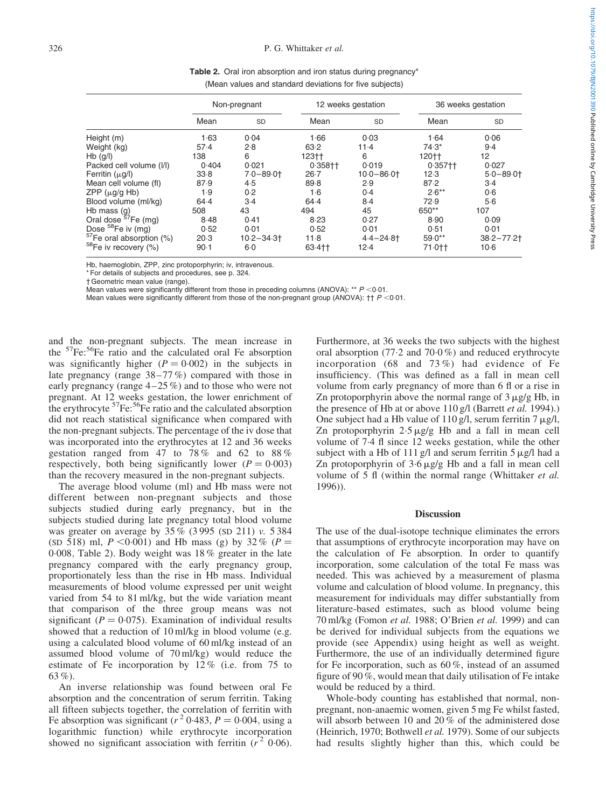<span id="page-3-0"></span>

|                                      | Non-pregnant |               |             | 12 weeks gestation | 36 weeks gestation |               |  |
|--------------------------------------|--------------|---------------|-------------|--------------------|--------------------|---------------|--|
|                                      | Mean         | <b>SD</b>     | Mean        | <b>SD</b>          | Mean               | <b>SD</b>     |  |
| Height (m)                           | 1.63         | 0.04          | 1.66        | 0.03               | 1.64               | 0.06          |  |
| Weight (kg)                          | 57.4         | 2.8           | 63.2        | $11-4$             | $74.3*$            | $9-4$         |  |
| $Hb$ (g/l)                           | 138          | 6             | 123††       | 6                  | 120††              | 12            |  |
| Packed cell volume (I/I)             | 0.404        | 0.021         | $0.358 + 1$ | 0.019              | $0.357 +$          | 0.027         |  |
| Ferritin $(\mu g/I)$                 | 33.8         | $7.0 - 89.0$  | $26 - 7$    | $10.0 - 86.0$      | 12.3               | $5.0 - 89.0$  |  |
| Mean cell volume (fl)                | 87.9         | 4.5           | 89.8        | 2.9                | 87.2               | $3-4$         |  |
| $ZPP$ ( $\mu$ g/g Hb)                | 1.9          | 0.2           | 1·6         | 0.4                | $2.6***$           | 0.6           |  |
| Blood volume (ml/kg)                 | 64.4         | $3-4$         | 64.4        | 8.4                | 72.9               | 5·6           |  |
| Hb mass $(g)$                        | 508          | 43            | 494         | 45                 | 650**              | 107           |  |
| Oral dose <sup>57</sup> Fe (mg)      | 8.48         | 0.41          | 8.23        | 0.27               | 8.90               | 0.09          |  |
| Dose <sup>58</sup> Fe iv (mg)        | 0.52         | 0.01          | 0.52        | 0.01               | 0.51               | 0.01          |  |
| <sup>57</sup> Fe oral absorption (%) | 20.3         | $10.2 - 34.3$ | $11-8$      | $4.4 - 24.8$       | $59.0**$           | $38.2 - 77.2$ |  |
| <sup>58</sup> Fe iv recovery (%)     | $90-1$       | $6-0$         | 63.4++      | 12.4               | $71.0 +$           | $10-6$        |  |

Table 2. Oral iron absorption and iron status during pregnancy\* (Mean values and standard deviations for five subjects)

Hb, haemoglobin, ZPP, zinc protoporphyrin; iv, intravenous.

\* For details of subjects and procedures, see p. 324.

† Geometric mean value (range).

Mean values were significantly different from those in preceding columns (ANOVA): \*\*  $P$  <0.01.

Mean values were significantly different from those of the non-pregnant group (ANOVA):  $\uparrow \uparrow P$  <0.01.

and the non-pregnant subjects. The mean increase in the 57Fe:56Fe ratio and the calculated oral Fe absorption was significantly higher  $(P = 0.002)$  in the subjects in late pregnancy (range 38–77 %) compared with those in early pregnancy (range 4–25 %) and to those who were not pregnant. At 12 weeks gestation, the lower enrichment of the erythrocyte  ${}^{57}Fe$ :  ${}^{56}Fe$  ratio and the calculated absorption did not reach statistical significance when compared with the non-pregnant subjects. The percentage of the iv dose that was incorporated into the erythrocytes at 12 and 36 weeks gestation ranged from 47 to  $78\%$  and 62 to  $88\%$ respectively, both being significantly lower  $(P = 0.003)$ than the recovery measured in the non-pregnant subjects.

The average blood volume (ml) and Hb mass were not different between non-pregnant subjects and those subjects studied during early pregnancy, but in the subjects studied during late pregnancy total blood volume was greater on average by 35 % (3 995 (SD 211) v. 5 384 (SD 518) ml,  $P < 0.001$ ) and Hb mass (g) by 32 % ( $P =$ 0:008; Table 2). Body weight was 18 % greater in the late pregnancy compared with the early pregnancy group, proportionately less than the rise in Hb mass. Individual measurements of blood volume expressed per unit weight varied from 54 to 81 ml/kg, but the wide variation meant that comparison of the three group means was not significant ( $P = 0.075$ ). Examination of individual results showed that a reduction of 10 ml/kg in blood volume (e.g. using a calculated blood volume of 60 ml/kg instead of an assumed blood volume of 70 ml/kg) would reduce the estimate of Fe incorporation by 12 % (i.e. from 75 to 63 %).

An inverse relationship was found between oral Fe absorption and the concentration of serum ferritin. Taking all fifteen subjects together, the correlation of ferritin with Fe absorption was significant ( $r^2$  0.483,  $P = 0.004$ , using a logarithmic function) while erythrocyte incorporation showed no significant association with ferritin  $(r^2 0.06)$ .

Furthermore, at 36 weeks the two subjects with the highest oral absorption (77:2 and 70:0 %) and reduced erythrocyte incorporation (68 and 73 %) had evidence of Fe insufficiency. (This was defined as a fall in mean cell volume from early pregnancy of more than 6 fl or a rise in Zn protoporphyrin above the normal range of  $3 \mu$ g/g Hb, in the presence of Hb at or above 110 g/l (Barrett *et al.* 1994).) One subject had a Hb value of  $110 \text{ g/l}$ , serum ferritin  $7 \mu\text{ g/l}$ , Zn protoporphyrin  $2.5 \mu g/g$  Hb and a fall in mean cell volume of 7:4 fl since 12 weeks gestation, while the other subject with a Hb of 111 g/l and serum ferritin  $5 \mu g/l$  had a Zn protoporphyrin of  $3.6 \mu g/g$  Hb and a fall in mean cell volume of 5 fl (within the normal range (Whittaker et al. 1996)).

## **Discussion**

The use of the dual-isotope technique eliminates the errors that assumptions of erythrocyte incorporation may have on the calculation of Fe absorption. In order to quantify incorporation, some calculation of the total Fe mass was needed. This was achieved by a measurement of plasma volume and calculation of blood volume. In pregnancy, this measurement for individuals may differ substantially from literature-based estimates, such as blood volume being 70 ml/kg (Fomon et al. 1988; O'Brien et al. 1999) and can be derived for individual subjects from the equations we provide (see Appendix) using height as well as weight. Furthermore, the use of an individually determined figure for Fe incorporation, such as 60 %, instead of an assumed figure of 90 %, would mean that daily utilisation of Fe intake would be reduced by a third.

Whole-body counting has established that normal, nonpregnant, non-anaemic women, given 5 mg Fe whilst fasted, will absorb between 10 and 20 % of the administered dose (Heinrich, 1970; Bothwell et al. 1979). Some of our subjects had results slightly higher than this, which could be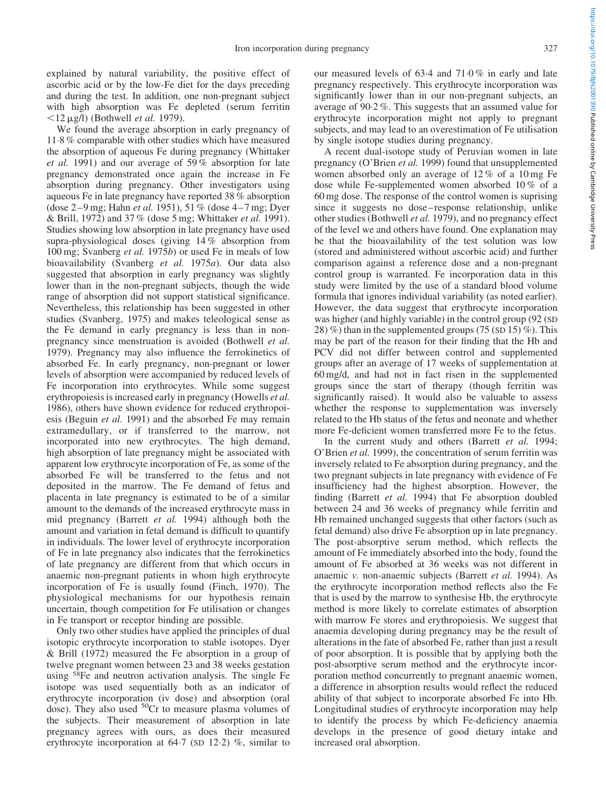explained by natural variability, the positive effect of ascorbic acid or by the low-Fe diet for the days preceding and during the test. In addition, one non-pregnant subject with high absorption was Fe depleted (serum ferritin  $\langle 12 \mu g/l \rangle$  (Bothwell *et al.* 1979).

We found the average absorption in early pregnancy of 11:8 % comparable with other studies which have measured the absorption of aqueous Fe during pregnancy (Whittaker et al. 1991) and our average of 59 % absorption for late pregnancy demonstrated once again the increase in Fe absorption during pregnancy. Other investigators using aqueous Fe in late pregnancy have reported 38 % absorption (dose 2–9 mg; Hahn et al. 1951), 51 % (dose 4–7 mg; Dyer & Brill, 1972) and 37 % (dose 5 mg; Whittaker et al. 1991). Studies showing low absorption in late pregnancy have used supra-physiological doses (giving 14 % absorption from 100 mg; Svanberg et al. 1975b) or used Fe in meals of low bioavailability (Svanberg et al. 1975a). Our data also suggested that absorption in early pregnancy was slightly lower than in the non-pregnant subjects, though the wide range of absorption did not support statistical significance. Nevertheless, this relationship has been suggested in other studies (Svanberg, 1975) and makes teleological sense as the Fe demand in early pregnancy is less than in nonpregnancy since menstruation is avoided (Bothwell et al. 1979). Pregnancy may also influence the ferrokinetics of absorbed Fe. In early pregnancy, non-pregnant or lower levels of absorption were accompanied by reduced levels of Fe incorporation into erythrocytes. While some suggest erythropoiesis is increased early in pregnancy (Howells *et al.*) 1986), others have shown evidence for reduced erythropoiesis (Beguin *et al.* 1991) and the absorbed Fe may remain extramedullary, or if transferred to the marrow, not incorporated into new erythrocytes. The high demand, high absorption of late pregnancy might be associated with apparent low erythrocyte incorporation of Fe, as some of the absorbed Fe will be transferred to the fetus and not deposited in the marrow. The Fe demand of fetus and placenta in late pregnancy is estimated to be of a similar amount to the demands of the increased erythrocyte mass in mid pregnancy (Barrett et al. 1994) although both the amount and variation in fetal demand is difficult to quantify in individuals. The lower level of erythrocyte incorporation of Fe in late pregnancy also indicates that the ferrokinetics of late pregnancy are different from that which occurs in anaemic non-pregnant patients in whom high erythrocyte incorporation of Fe is usually found (Finch, 1970). The physiological mechanisms for our hypothesis remain uncertain, though competition for Fe utilisation or changes in Fe transport or receptor binding are possible.

Only two other studies have applied the principles of dual isotopic erythrocyte incorporation to stable isotopes. Dyer & Brill (1972) measured the Fe absorption in a group of twelve pregnant women between 23 and 38 weeks gestation using 58Fe and neutron activation analysis. The single Fe isotope was used sequentially both as an indicator of erythrocyte incorporation (iv dose) and absorption (oral dose). They also used  ${}^{50}Cr$  to measure plasma volumes of the subjects. Their measurement of absorption in late pregnancy agrees with ours, as does their measured erythrocyte incorporation at  $64.7$  (SD 12.2) %, similar to

our measured levels of 63:4 and 71:0 % in early and late pregnancy respectively. This erythrocyte incorporation was significantly lower than in our non-pregnant subjects, an average of 90:2 %. This suggests that an assumed value for erythrocyte incorporation might not apply to pregnant subjects, and may lead to an overestimation of Fe utilisation by single isotope studies during pregnancy.

A recent dual-isotope study of Peruvian women in late pregnancy (O'Brien et al. 1999) found that unsupplemented women absorbed only an average of 12 % of a 10 mg Fe dose while Fe-supplemented women absorbed 10 % of a 60 mg dose. The response of the control women is suprising since it suggests no dose–response relationship, unlike other studies (Bothwell et al. 1979), and no pregnancy effect of the level we and others have found. One explanation may be that the bioavailability of the test solution was low (stored and administered without ascorbic acid) and further comparison against a reference dose and a non-pregnant control group is warranted. Fe incorporation data in this study were limited by the use of a standard blood volume formula that ignores individual variability (as noted earlier). However, the data suggest that erythrocyte incorporation was higher (and highly variable) in the control group (92 (SD 28) %) than in the supplemented groups (75 (SD 15) %). This may be part of the reason for their finding that the Hb and PCV did not differ between control and supplemented groups after an average of 17 weeks of supplementation at 60 mg/d, and had not in fact risen in the supplemented groups since the start of therapy (though ferritin was significantly raised). It would also be valuable to assess whether the response to supplementation was inversely related to the Hb status of the fetus and neonate and whether more Fe-deficient women transferred more Fe to the fetus.

In the current study and others (Barrett et al. 1994; O'Brien et al. 1999), the concentration of serum ferritin was inversely related to Fe absorption during pregnancy, and the two pregnant subjects in late pregnancy with evidence of Fe insufficiency had the highest absorption. However, the finding (Barrett et al. 1994) that Fe absorption doubled between 24 and 36 weeks of pregnancy while ferritin and Hb remained unchanged suggests that other factors (such as fetal demand) also drive Fe absorption up in late pregnancy. The post-absorptive serum method, which reflects the amount of Fe immediately absorbed into the body, found the amount of Fe absorbed at 36 weeks was not different in anaemic v. non-anaemic subjects (Barrett et al. 1994). As the erythrocyte incorporation method reflects also the Fe that is used by the marrow to synthesise Hb, the erythrocyte method is more likely to correlate estimates of absorption with marrow Fe stores and erythropoiesis. We suggest that anaemia developing during pregnancy may be the result of alterations in the fate of absorbed Fe, rather than just a result of poor absorption. It is possible that by applying both the post-absorptive serum method and the erythrocyte incorporation method concurrently to pregnant anaemic women, a difference in absorption results would reflect the reduced ability of that subject to incorporate absorbed Fe into Hb. Longitudinal studies of erythrocyte incorporation may help to identify the process by which Fe-deficiency anaemia develops in the presence of good dietary intake and increased oral absorption.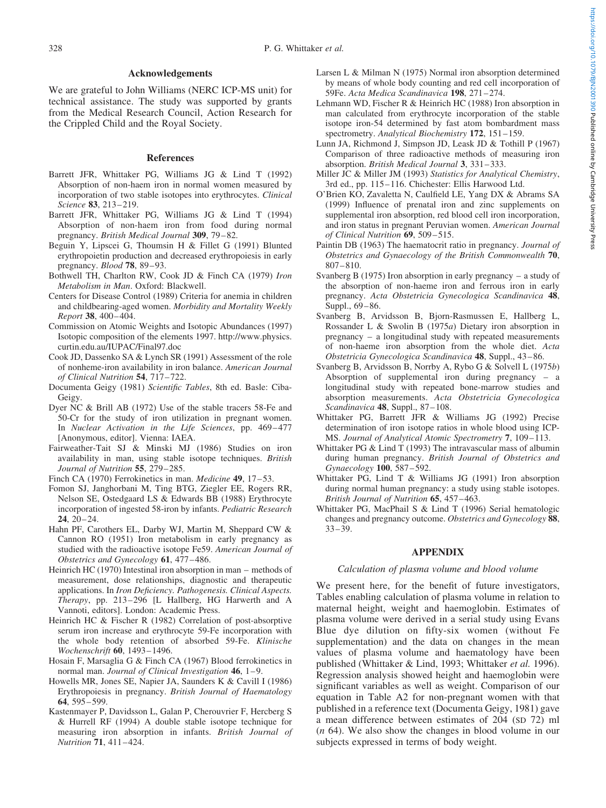## Acknowledgements

We are grateful to John Williams (NERC ICP-MS unit) for technical assistance. The study was supported by grants from the Medical Research Council, Action Research for the Crippled Child and the Royal Society.

## References

- Barrett JFR, Whittaker PG, Williams JG & Lind T (1992) Absorption of non-haem iron in normal women measured by incorporation of two stable isotopes into erythrocytes. Clinical Science 83, 213–219.
- Barrett JFR, Whittaker PG, Williams JG & Lind T (1994) Absorption of non-haem iron from food during normal pregnancy. British Medical Journal 309, 79–82.
- Beguin Y, Lipscei G, Thoumsin H & Fillet G (1991) Blunted erythropoietin production and decreased erythropoiesis in early pregnancy. Blood 78, 89–93.
- Bothwell TH, Charlton RW, Cook JD & Finch CA (1979) Iron Metabolism in Man. Oxford: Blackwell.
- Centers for Disease Control (1989) Criteria for anemia in children and childbearing-aged women. Morbidity and Mortality Weekly Report 38, 400–404.
- Commission on Atomic Weights and Isotopic Abundances (1997) Isotopic composition of the elements 1997. http://www.physics. curtin.edu.au/IUPAC/Final97.doc
- Cook JD, Dassenko SA & Lynch SR (1991) Assessment of the role of nonheme-iron availability in iron balance. American Journal of Clinical Nutrition 54, 717–722.
- Documenta Geigy (1981) Scientific Tables, 8th ed. Basle: Ciba-Geigy.
- Dyer NC & Brill AB (1972) Use of the stable tracers 58-Fe and 50-Cr for the study of iron utilization in pregnant women. In Nuclear Activation in the Life Sciences, pp. 469–477 [Anonymous, editor]. Vienna: IAEA.
- Fairweather-Tait SJ & Minski MJ (1986) Studies on iron availability in man, using stable isotope techniques. British Journal of Nutrition 55, 279–285.
- Finch CA (1970) Ferrokinetics in man. Medicine 49, 17–53.
- Fomon SJ, Janghorbani M, Ting BTG, Ziegler EE, Rogers RR, Nelson SE, Ostedgaard LS & Edwards BB (1988) Erythrocyte incorporation of ingested 58-iron by infants. Pediatric Research 24, 20–24.
- Hahn PF, Carothers EL, Darby WJ, Martin M, Sheppard CW & Cannon RO (1951) Iron metabolism in early pregnancy as studied with the radioactive isotope Fe59. American Journal of Obstetrics and Gynecology 61, 477–486.
- Heinrich HC (1970) Intestinal iron absorption in man methods of measurement, dose relationships, diagnostic and therapeutic applications. In Iron Deficiency. Pathogenesis. Clinical Aspects. Therapy, pp. 213–296 [L Hallberg, HG Harwerth and A Vannoti, editors]. London: Academic Press.
- Heinrich HC & Fischer R (1982) Correlation of post-absorptive serum iron increase and erythrocyte 59-Fe incorporation with the whole body retention of absorbed 59-Fe. Klinische Wochenschrift 60, 1493–1496.
- Hosain F, Marsaglia G & Finch CA (1967) Blood ferrokinetics in normal man. Journal of Clinical Investigation 46, 1–9.
- Howells MR, Jones SE, Napier JA, Saunders K & Cavill I (1986) Erythropoiesis in pregnancy. British Journal of Haematology 64, 595–599.
- Kastenmayer P, Davidsson L, Galan P, Cherouvrier F, Hercberg S & Hurrell RF (1994) A double stable isotope technique for measuring iron absorption in infants. British Journal of Nutrition 71, 411–424.
- Larsen L & Milman N (1975) Normal iron absorption determined by means of whole body counting and red cell incorporation of 59Fe. Acta Medica Scandinavica 198, 271–274.
- Lehmann WD, Fischer R & Heinrich HC (1988) Iron absorption in man calculated from erythrocyte incorporation of the stable isotope iron-54 determined by fast atom bombardment mass spectrometry. Analytical Biochemistry 172, 151-159.
- Lunn JA, Richmond J, Simpson JD, Leask JD & Tothill P (1967) Comparison of three radioactive methods of measuring iron absorption. British Medical Journal 3, 331–333.
- Miller JC & Miller JM (1993) Statistics for Analytical Chemistry, 3rd ed., pp. 115–116. Chichester: Ellis Harwood Ltd.
- O'Brien KO, Zavaletta N, Caulfield LE, Yang DX & Abrams SA (1999) Influence of prenatal iron and zinc supplements on supplemental iron absorption, red blood cell iron incorporation, and iron status in pregnant Peruvian women. American Journal of Clinical Nutrition 69, 509–515.
- Paintin DB (1963) The haematocrit ratio in pregnancy. Journal of Obstetrics and Gynaecology of the British Commonwealth 70, 807–810.
- Svanberg B (1975) Iron absorption in early pregnancy a study of the absorption of non-haeme iron and ferrous iron in early pregnancy. Acta Obstetricia Gynecologica Scandinavica 48, Suppl., 69–86.
- Svanberg B, Arvidsson B, Bjorn-Rasmussen E, Hallberg L, Rossander L & Swolin B (1975a) Dietary iron absorption in pregnancy – a longitudinal study with repeated measurements of non-haeme iron absorption from the whole diet. Acta Obstetricia Gynecologica Scandinavica 48, Suppl., 43–86.
- Svanberg B, Arvidsson B, Norrby A, Rybo G & Solvell L (1975b) Absorption of supplemental iron during pregnancy – a longitudinal study with repeated bone-marrow studies and absorption measurements. Acta Obstetricia Gynecologica Scandinavica 48, Suppl., 87-108.
- Whittaker PG, Barrett JFR & Williams JG (1992) Precise determination of iron isotope ratios in whole blood using ICP-MS. Journal of Analytical Atomic Spectrometry 7, 109–113.
- Whittaker PG & Lind T (1993) The intravascular mass of albumin during human pregnancy. British Journal of Obstetrics and Gynaecology 100, 587–592.
- Whittaker PG, Lind T & Williams JG (1991) Iron absorption during normal human pregnancy: a study using stable isotopes. British Journal of Nutrition 65, 457–463.
- Whittaker PG, MacPhail S & Lind T (1996) Serial hematologic changes and pregnancy outcome. Obstetrics and Gynecology 88, 33–39.

## APPENDIX

#### Calculation of plasma volume and blood volume

We present here, for the benefit of future investigators, Tables enabling calculation of plasma volume in relation to maternal height, weight and haemoglobin. Estimates of plasma volume were derived in a serial study using Evans Blue dye dilution on fifty-six women (without Fe supplementation) and the data on changes in the mean values of plasma volume and haematology have been published (Whittaker & Lind, 1993; Whittaker et al. 1996). Regression analysis showed height and haemoglobin were significant variables as well as weight. Comparison of our equation in [Table A2 f](#page-6-0)or non-pregnant women with that published in a reference text (Documenta Geigy, 1981) gave a mean difference between estimates of 204 (SD 72) ml (n 64). We also show the changes in blood volume in our subjects expressed in terms of body weight.